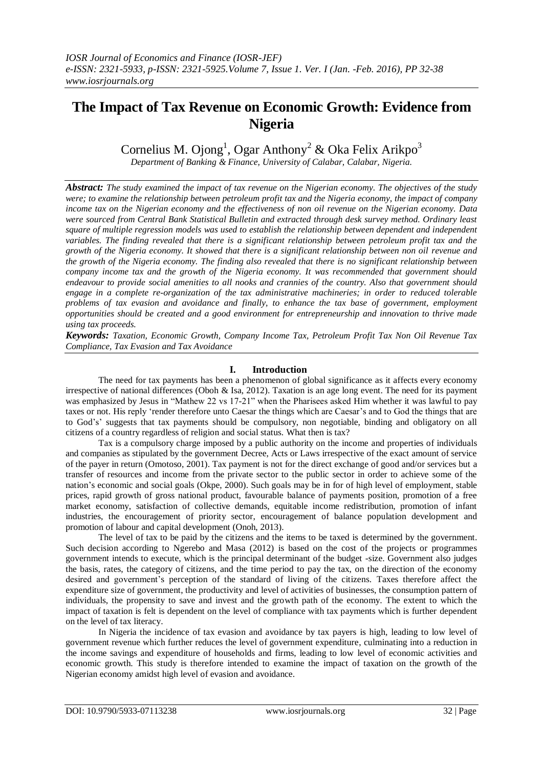# **The Impact of Tax Revenue on Economic Growth: Evidence from Nigeria**

Cornelius M. Ojong<sup>1</sup>, Ogar Anthony<sup>2</sup> & Oka Felix Arikpo<sup>3</sup>

*Department of Banking & Finance, University of Calabar, Calabar, Nigeria.*

*Abstract: The study examined the impact of tax revenue on the Nigerian economy. The objectives of the study were; to examine the relationship between petroleum profit tax and the Nigeria economy, the impact of company income tax on the Nigerian economy and the effectiveness of non oil revenue on the Nigerian economy. Data were sourced from Central Bank Statistical Bulletin and extracted through desk survey method. Ordinary least square of multiple regression models was used to establish the relationship between dependent and independent variables. The finding revealed that there is a significant relationship between petroleum profit tax and the growth of the Nigeria economy. It showed that there is a significant relationship between non oil revenue and the growth of the Nigeria economy. The finding also revealed that there is no significant relationship between company income tax and the growth of the Nigeria economy. It was recommended that government should endeavour to provide social amenities to all nooks and crannies of the country. Also that government should engage in a complete re-organization of the tax administrative machineries; in order to reduced tolerable problems of tax evasion and avoidance and finally, to enhance the tax base of government, employment opportunities should be created and a good environment for entrepreneurship and innovation to thrive made using tax proceeds.*

*Keywords: Taxation, Economic Growth, Company Income Tax, Petroleum Profit Tax Non Oil Revenue Tax Compliance, Tax Evasion and Tax Avoidance*

# **I. Introduction**

The need for tax payments has been a phenomenon of global significance as it affects every economy irrespective of national differences (Oboh & Isa, 2012). Taxation is an age long event. The need for its payment was emphasized by Jesus in "Mathew 22 vs 17-21" when the Pharisees asked Him whether it was lawful to pay taxes or not. His reply "render therefore unto Caesar the things which are Caesar"s and to God the things that are to God"s" suggests that tax payments should be compulsory, non negotiable, binding and obligatory on all citizens of a country regardless of religion and social status. What then is tax?

Tax is a compulsory charge imposed by a public authority on the income and properties of individuals and companies as stipulated by the government Decree, Acts or Laws irrespective of the exact amount of service of the payer in return (Omotoso, 2001). Tax payment is not for the direct exchange of good and/or services but a transfer of resources and income from the private sector to the public sector in order to achieve some of the nation"s economic and social goals (Okpe, 2000). Such goals may be in for of high level of employment, stable prices, rapid growth of gross national product, favourable balance of payments position, promotion of a free market economy, satisfaction of collective demands, equitable income redistribution, promotion of infant industries, the encouragement of priority sector, encouragement of balance population development and promotion of labour and capital development (Onoh, 2013).

The level of tax to be paid by the citizens and the items to be taxed is determined by the government. Such decision according to Ngerebo and Masa (2012) is based on the cost of the projects or programmes government intends to execute, which is the principal determinant of the budget -size. Government also judges the basis, rates, the category of citizens, and the time period to pay the tax, on the direction of the economy desired and government"s perception of the standard of living of the citizens. Taxes therefore affect the expenditure size of government, the productivity and level of activities of businesses, the consumption pattern of individuals, the propensity to save and invest and the growth path of the economy. The extent to which the impact of taxation is felt is dependent on the level of compliance with tax payments which is further dependent on the level of tax literacy.

In Nigeria the incidence of tax evasion and avoidance by tax payers is high, leading to low level of government revenue which further reduces the level of government expenditure, culminating into a reduction in the income savings and expenditure of households and firms, leading to low level of economic activities and economic growth. This study is therefore intended to examine the impact of taxation on the growth of the Nigerian economy amidst high level of evasion and avoidance.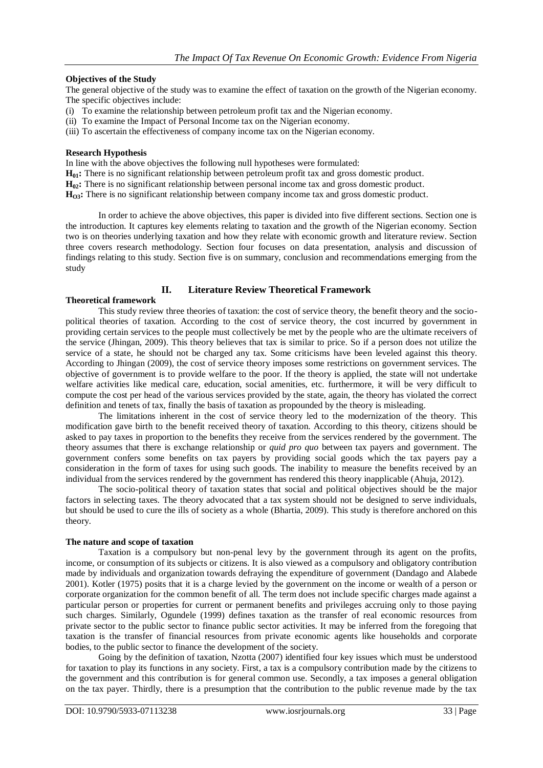# **Objectives of the Study**

The general objective of the study was to examine the effect of taxation on the growth of the Nigerian economy. The specific objectives include:

- (i) To examine the relationship between petroleum profit tax and the Nigerian economy.
- (ii) To examine the Impact of Personal Income tax on the Nigerian economy.
- (iii) To ascertain the effectiveness of company income tax on the Nigerian economy.

# **Research Hypothesis**

In line with the above objectives the following null hypotheses were formulated:

**H01:** There is no significant relationship between petroleum profit tax and gross domestic product.

**H<sub>0</sub>2</sub>:** There is no significant relationship between personal income tax and gross domestic product.

**H**<sup>O3</sup>**:** There is no significant relationship between company income tax and gross domestic product.

In order to achieve the above objectives, this paper is divided into five different sections. Section one is the introduction. It captures key elements relating to taxation and the growth of the Nigerian economy. Section two is on theories underlying taxation and how they relate with economic growth and literature review. Section three covers research methodology. Section four focuses on data presentation, analysis and discussion of findings relating to this study. Section five is on summary, conclusion and recommendations emerging from the study

# **II. Literature Review Theoretical Framework**

# **Theoretical framework**

This study review three theories of taxation: the cost of service theory, the benefit theory and the sociopolitical theories of taxation. According to the cost of service theory, the cost incurred by government in providing certain services to the people must collectively be met by the people who are the ultimate receivers of the service (Jhingan, 2009). This theory believes that tax is similar to price. So if a person does not utilize the service of a state, he should not be charged any tax. Some criticisms have been leveled against this theory. According to Jhingan (2009), the cost of service theory imposes some restrictions on government services. The objective of government is to provide welfare to the poor. If the theory is applied, the state will not undertake welfare activities like medical care, education, social amenities, etc. furthermore, it will be very difficult to compute the cost per head of the various services provided by the state, again, the theory has violated the correct definition and tenets of tax, finally the basis of taxation as propounded by the theory is misleading.

The limitations inherent in the cost of service theory led to the modernization of the theory. This modification gave birth to the benefit received theory of taxation. According to this theory, citizens should be asked to pay taxes in proportion to the benefits they receive from the services rendered by the government. The theory assumes that there is exchange relationship or *quid pro quo* between tax payers and government. The government confers some benefits on tax payers by providing social goods which the tax payers pay a consideration in the form of taxes for using such goods. The inability to measure the benefits received by an individual from the services rendered by the government has rendered this theory inapplicable (Ahuja, 2012).

The socio-political theory of taxation states that social and political objectives should be the major factors in selecting taxes. The theory advocated that a tax system should not be designed to serve individuals, but should be used to cure the ills of society as a whole (Bhartia, 2009). This study is therefore anchored on this theory.

# **The nature and scope of taxation**

Taxation is a compulsory but non-penal levy by the government through its agent on the profits, income, or consumption of its subjects or citizens. It is also viewed as a compulsory and obligatory contribution made by individuals and organization towards defraying the expenditure of government (Dandago and Alabede 2001). Kotler (1975) posits that it is a charge levied by the government on the income or wealth of a person or corporate organization for the common benefit of all. The term does not include specific charges made against a particular person or properties for current or permanent benefits and privileges accruing only to those paying such charges. Similarly, Ogundele (1999) defines taxation as the transfer of real economic resources from private sector to the public sector to finance public sector activities. It may be inferred from the foregoing that taxation is the transfer of financial resources from private economic agents like households and corporate bodies, to the public sector to finance the development of the society.

Going by the definition of taxation, Nzotta (2007) identified four key issues which must be understood for taxation to play its functions in any society. First, a tax is a compulsory contribution made by the citizens to the government and this contribution is for general common use. Secondly, a tax imposes a general obligation on the tax payer. Thirdly, there is a presumption that the contribution to the public revenue made by the tax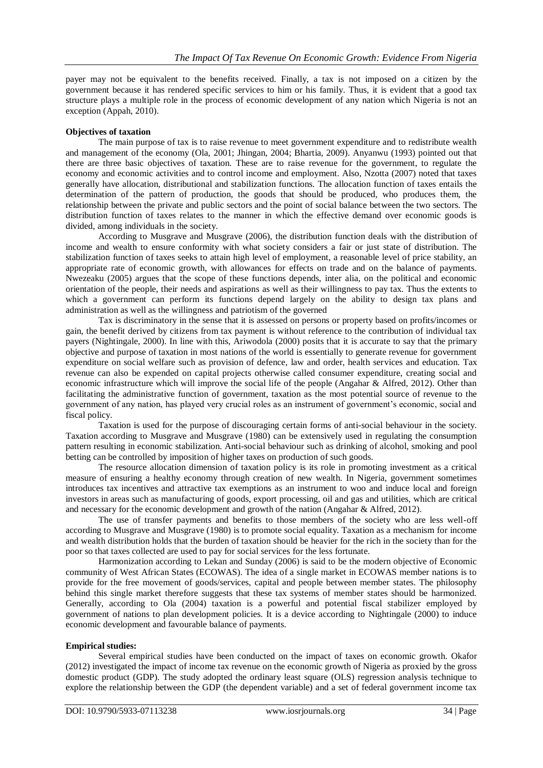payer may not be equivalent to the benefits received. Finally, a tax is not imposed on a citizen by the government because it has rendered specific services to him or his family. Thus, it is evident that a good tax structure plays a multiple role in the process of economic development of any nation which Nigeria is not an exception (Appah, 2010).

# **Objectives of taxation**

The main purpose of tax is to raise revenue to meet government expenditure and to redistribute wealth and management of the economy (Ola, 2001; Jhingan, 2004; Bhartia, 2009). Anyanwu (1993) pointed out that there are three basic objectives of taxation. These are to raise revenue for the government, to regulate the economy and economic activities and to control income and employment. Also, Nzotta (2007) noted that taxes generally have allocation, distributional and stabilization functions. The allocation function of taxes entails the determination of the pattern of production, the goods that should be produced, who produces them, the relationship between the private and public sectors and the point of social balance between the two sectors. The distribution function of taxes relates to the manner in which the effective demand over economic goods is divided, among individuals in the society.

According to Musgrave and Musgrave (2006), the distribution function deals with the distribution of income and wealth to ensure conformity with what society considers a fair or just state of distribution. The stabilization function of taxes seeks to attain high level of employment, a reasonable level of price stability, an appropriate rate of economic growth, with allowances for effects on trade and on the balance of payments. Nwezeaku (2005) argues that the scope of these functions depends, inter alia, on the political and economic orientation of the people, their needs and aspirations as well as their willingness to pay tax. Thus the extents to which a government can perform its functions depend largely on the ability to design tax plans and administration as well as the willingness and patriotism of the governed

Tax is discriminatory in the sense that it is assessed on persons or property based on profits/incomes or gain, the benefit derived by citizens from tax payment is without reference to the contribution of individual tax payers (Nightingale, 2000). In line with this, Ariwodola (2000) posits that it is accurate to say that the primary objective and purpose of taxation in most nations of the world is essentially to generate revenue for government expenditure on social welfare such as provision of defence, law and order, health services and education. Tax revenue can also be expended on capital projects otherwise called consumer expenditure, creating social and economic infrastructure which will improve the social life of the people (Angahar & Alfred, 2012). Other than facilitating the administrative function of government, taxation as the most potential source of revenue to the government of any nation, has played very crucial roles as an instrument of government's economic, social and fiscal policy.

Taxation is used for the purpose of discouraging certain forms of anti-social behaviour in the society. Taxation according to Musgrave and Musgrave (1980) can be extensively used in regulating the consumption pattern resulting in economic stabilization. Anti-social behaviour such as drinking of alcohol, smoking and pool betting can be controlled by imposition of higher taxes on production of such goods.

The resource allocation dimension of taxation policy is its role in promoting investment as a critical measure of ensuring a healthy economy through creation of new wealth. In Nigeria, government sometimes introduces tax incentives and attractive tax exemptions as an instrument to woo and induce local and foreign investors in areas such as manufacturing of goods, export processing, oil and gas and utilities, which are critical and necessary for the economic development and growth of the nation (Angahar & Alfred, 2012).

The use of transfer payments and benefits to those members of the society who are less well-off according to Musgrave and Musgrave (1980) is to promote social equality. Taxation as a mechanism for income and wealth distribution holds that the burden of taxation should be heavier for the rich in the society than for the poor so that taxes collected are used to pay for social services for the less fortunate.

Harmonization according to Lekan and Sunday (2006) is said to be the modern objective of Economic community of West African States (ECOWAS). The idea of a single market in ECOWAS member nations is to provide for the free movement of goods/services, capital and people between member states. The philosophy behind this single market therefore suggests that these tax systems of member states should be harmonized. Generally, according to Ola (2004) taxation is a powerful and potential fiscal stabilizer employed by government of nations to plan development policies. It is a device according to Nightingale (2000) to induce economic development and favourable balance of payments.

# **Empirical studies:**

Several empirical studies have been conducted on the impact of taxes on economic growth. Okafor (2012) investigated the impact of income tax revenue on the economic growth of Nigeria as proxied by the gross domestic product (GDP). The study adopted the ordinary least square (OLS) regression analysis technique to explore the relationship between the GDP (the dependent variable) and a set of federal government income tax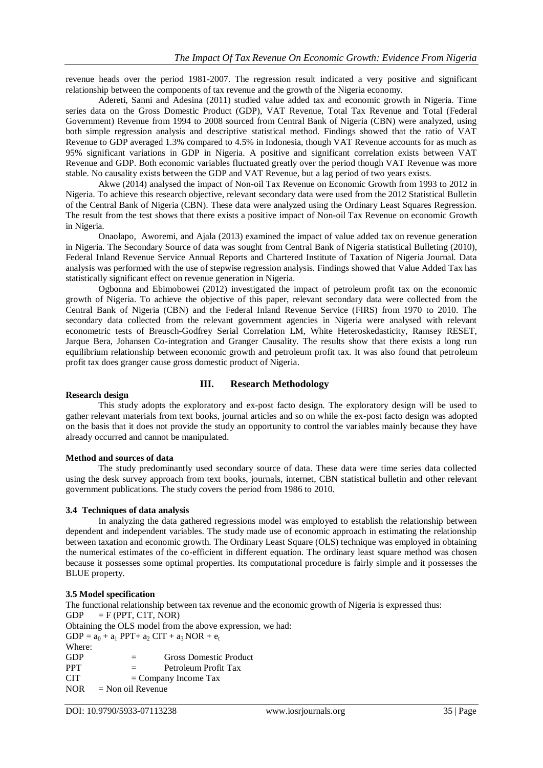revenue heads over the period 1981-2007. The regression result indicated a very positive and significant relationship between the components of tax revenue and the growth of the Nigeria economy.

Adereti, Sanni and Adesina (2011) studied value added tax and economic growth in Nigeria. Time series data on the Gross Domestic Product (GDP), VAT Revenue, Total Tax Revenue and Total (Federal Government) Revenue from 1994 to 2008 sourced from Central Bank of Nigeria (CBN) were analyzed, using both simple regression analysis and descriptive statistical method. Findings showed that the ratio of VAT Revenue to GDP averaged 1.3% compared to 4.5% in Indonesia, though VAT Revenue accounts for as much as 95% significant variations in GDP in Nigeria. A positive and significant correlation exists between VAT Revenue and GDP. Both economic variables fluctuated greatly over the period though VAT Revenue was more stable. No causality exists between the GDP and VAT Revenue, but a lag period of two years exists.

Akwe (2014) analysed the impact of Non-oil Tax Revenue on Economic Growth from 1993 to 2012 in Nigeria. To achieve this research objective, relevant secondary data were used from the 2012 Statistical Bulletin of the Central Bank of Nigeria (CBN). These data were analyzed using the Ordinary Least Squares Regression. The result from the test shows that there exists a positive impact of Non-oil Tax Revenue on economic Growth in Nigeria.

Onaolapo, Aworemi, and Ajala (2013) examined the impact of value added tax on revenue generation in Nigeria. The Secondary Source of data was sought from Central Bank of Nigeria statistical Bulleting (2010), Federal Inland Revenue Service Annual Reports and Chartered Institute of Taxation of Nigeria Journal. Data analysis was performed with the use of stepwise regression analysis. Findings showed that Value Added Tax has statistically significant effect on revenue generation in Nigeria.

Ogbonna and Ebimobowei (2012) investigated the impact of petroleum profit tax on the economic growth of Nigeria. To achieve the objective of this paper, relevant secondary data were collected from the Central Bank of Nigeria (CBN) and the Federal Inland Revenue Service (FIRS) from 1970 to 2010. The secondary data collected from the relevant government agencies in Nigeria were analysed with relevant econometric tests of Breusch-Godfrey Serial Correlation LM, White Heteroskedasticity, Ramsey RESET, Jarque Bera, Johansen Co-integration and Granger Causality. The results show that there exists a long run equilibrium relationship between economic growth and petroleum profit tax. It was also found that petroleum profit tax does granger cause gross domestic product of Nigeria.

# **III. Research Methodology**

# **Research design**

This study adopts the exploratory and ex-post facto design. The exploratory design will be used to gather relevant materials from text books, journal articles and so on while the ex-post facto design was adopted on the basis that it does not provide the study an opportunity to control the variables mainly because they have already occurred and cannot be manipulated.

# **Method and sources of data**

The study predominantly used secondary source of data. These data were time series data collected using the desk survey approach from text books, journals, internet, CBN statistical bulletin and other relevant government publications. The study covers the period from 1986 to 2010.

# **3.4 Techniques of data analysis**

In analyzing the data gathered regressions model was employed to establish the relationship between dependent and independent variables. The study made use of economic approach in estimating the relationship between taxation and economic growth. The Ordinary Least Square (OLS) technique was employed in obtaining the numerical estimates of the co-efficient in different equation. The ordinary least square method was chosen because it possesses some optimal properties. Its computational procedure is fairly simple and it possesses the BLUE property.

# **3.5 Model specification**

The functional relationship between tax revenue and the economic growth of Nigeria is expressed thus:  $GDP = F (PPT, C1T, NOR)$ Obtaining the OLS model from the above expression, we had:  $GDP = a_0 + a_1 PPT + a_2 CIT + a_3 NOR + e_t$ Where: GDP = Gross Domestic Product PPT = Petroleum Profit Tax  $CIT = Company Income Tax$ 

 $NOR = Non oil Revenue$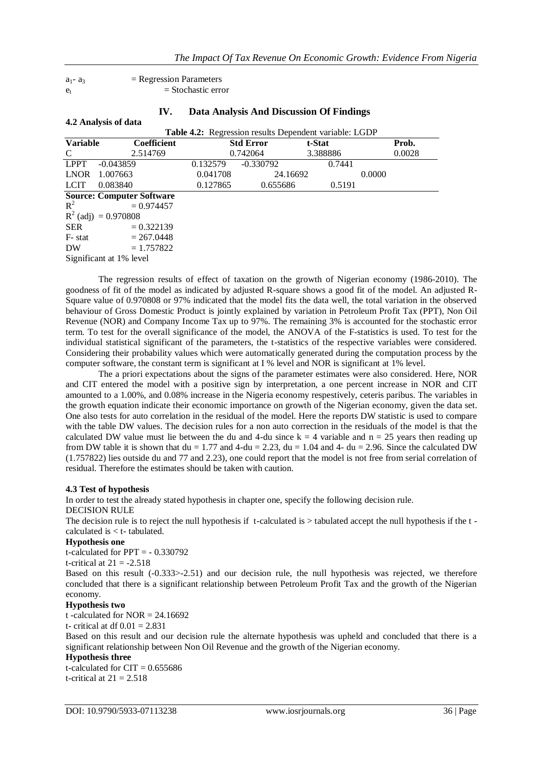$a_1 - a_3$  = Regression Parameters  $e_t$  = Stochastic error

**4.2 Analysis of data**

| IV. | Data Analysis And Discussion Of Findings |  |
|-----|------------------------------------------|--|
|-----|------------------------------------------|--|

| <b>The Industrial of Guita</b> |                                  |          |                                                        |          |        |  |  |  |
|--------------------------------|----------------------------------|----------|--------------------------------------------------------|----------|--------|--|--|--|
|                                |                                  |          | Table 4.2: Regression results Dependent variable: LGDP |          |        |  |  |  |
| <b>Variable</b>                | <b>Coefficient</b>               |          | <b>Std Error</b>                                       | t-Stat   | Prob.  |  |  |  |
| C                              | 2.514769                         |          | 0.742064                                               | 3.388886 | 0.0028 |  |  |  |
| <b>LPPT</b>                    | $-0.043859$                      | 0.132579 | $-0.330792$                                            | 0.7441   |        |  |  |  |
| <b>LNOR</b>                    | 1.007663                         | 0.041708 | 24.16692                                               |          | 0.0000 |  |  |  |
| <b>LCIT</b>                    | 0.083840                         | 0.127865 | 0.655686                                               | 0.5191   |        |  |  |  |
|                                | <b>Source: Computer Software</b> |          |                                                        |          |        |  |  |  |
| $R^2$                          | $= 0.974457$                     |          |                                                        |          |        |  |  |  |
|                                | $R^2$ (adj) = 0.970808           |          |                                                        |          |        |  |  |  |
| SER                            | $= 0.322139$                     |          |                                                        |          |        |  |  |  |
| F- stat                        | $= 267.0448$                     |          |                                                        |          |        |  |  |  |
| DW <sub></sub>                 | $= 1.757822$                     |          |                                                        |          |        |  |  |  |
|                                | Significant at 1% level          |          |                                                        |          |        |  |  |  |

The regression results of effect of taxation on the growth of Nigerian economy (1986-2010). The goodness of fit of the model as indicated by adjusted R-square shows a good fit of the model. An adjusted R-Square value of 0.970808 or 97% indicated that the model fits the data well, the total variation in the observed behaviour of Gross Domestic Product is jointly explained by variation in Petroleum Profit Tax (PPT), Non Oil Revenue (NOR) and Company Income Tax up to 97%. The remaining 3% is accounted for the stochastic error term. To test for the overall significance of the model, the ANOVA of the F-statistics is used. To test for the individual statistical significant of the parameters, the t-statistics of the respective variables were considered. Considering their probability values which were automatically generated during the computation process by the computer software, the constant term is significant at I % level and NOR is significant at 1% level.

The a priori expectations about the signs of the parameter estimates were also considered. Here, NOR and CIT entered the model with a positive sign by interpretation, a one percent increase in NOR and CIT amounted to a 1.00%, and 0.08% increase in the Nigeria economy respestively, ceteris paribus. The variables in the growth equation indicate their economic importance on growth of the Nigerian economy, given the data set. One also tests for auto correlation in the residual of the model. Here the reports DW statistic is used to compare with the table DW values. The decision rules for a non auto correction in the residuals of the model is that the calculated DW value must lie between the du and 4-du since  $k = 4$  variable and  $n = 25$  years then reading up from DW table it is shown that du = 1.77 and 4-du = 2.23, du = 1.04 and 4- du = 2.96. Since the calculated DW (1.757822) lies outside du and 77 and 2.23), one could report that the model is not free from serial correlation of residual. Therefore the estimates should be taken with caution.

### **4.3 Test of hypothesis**

In order to test the already stated hypothesis in chapter one, specify the following decision rule. DECISION RULE The decision rule is to reject the null hypothesis if t-calculated is > tabulated accept the null hypothesis if the t calculated is < t- tabulated.

### **Hypothesis one**

t-calculated for PPT = - 0.330792 t-critical at  $21 = -2.518$ Based on this result (-0.333>-2.51) and our decision rule, the null hypothesis was rejected, we therefore concluded that there is a significant relationship between Petroleum Profit Tax and the growth of the Nigerian economy.

## **Hypothesis two**

t -calculated for  $NOR = 24.16692$ 

t- critical at df  $0.01 = 2.831$ 

Based on this result and our decision rule the alternate hypothesis was upheld and concluded that there is a significant relationship between Non Oil Revenue and the growth of the Nigerian economy.

# **Hypothesis three**

t-calculated for  $CIT = 0.655686$ t-critical at  $21 = 2.518$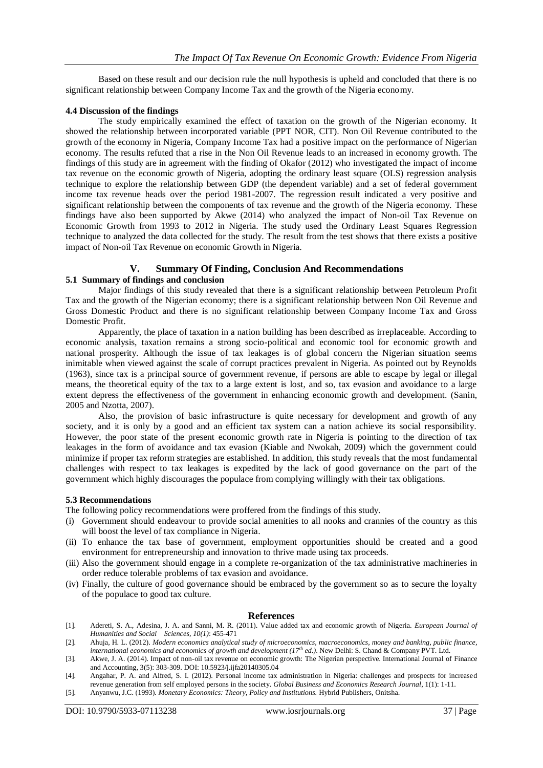Based on these result and our decision rule the null hypothesis is upheld and concluded that there is no significant relationship between Company Income Tax and the growth of the Nigeria economy.

## **4.4 Discussion of the findings**

The study empirically examined the effect of taxation on the growth of the Nigerian economy. It showed the relationship between incorporated variable (PPT NOR, CIT). Non Oil Revenue contributed to the growth of the economy in Nigeria, Company Income Tax had a positive impact on the performance of Nigerian economy. The results refuted that a rise in the Non Oil Revenue leads to an increased in economy growth. The findings of this study are in agreement with the finding of Okafor (2012) who investigated the impact of income tax revenue on the economic growth of Nigeria, adopting the ordinary least square (OLS) regression analysis technique to explore the relationship between GDP (the dependent variable) and a set of federal government income tax revenue heads over the period 1981-2007. The regression result indicated a very positive and significant relationship between the components of tax revenue and the growth of the Nigeria economy. These findings have also been supported by Akwe (2014) who analyzed the impact of Non-oil Tax Revenue on Economic Growth from 1993 to 2012 in Nigeria. The study used the Ordinary Least Squares Regression technique to analyzed the data collected for the study. The result from the test shows that there exists a positive impact of Non-oil Tax Revenue on economic Growth in Nigeria.

# **V. Summary Of Finding, Conclusion And Recommendations**

# **5.1 Summary of findings and conclusion**

Major findings of this study revealed that there is a significant relationship between Petroleum Profit Tax and the growth of the Nigerian economy; there is a significant relationship between Non Oil Revenue and Gross Domestic Product and there is no significant relationship between Company Income Tax and Gross Domestic Profit.

Apparently, the place of taxation in a nation building has been described as irreplaceable. According to economic analysis, taxation remains a strong socio-political and economic tool for economic growth and national prosperity. Although the issue of tax leakages is of global concern the Nigerian situation seems inimitable when viewed against the scale of corrupt practices prevalent in Nigeria. As pointed out by Reynolds (1963), since tax is a principal source of government revenue, if persons are able to escape by legal or illegal means, the theoretical equity of the tax to a large extent is lost, and so, tax evasion and avoidance to a large extent depress the effectiveness of the government in enhancing economic growth and development. (Sanin, 2005 and Nzotta, 2007).

Also, the provision of basic infrastructure is quite necessary for development and growth of any society, and it is only by a good and an efficient tax system can a nation achieve its social responsibility. However, the poor state of the present economic growth rate in Nigeria is pointing to the direction of tax leakages in the form of avoidance and tax evasion (Kiable and Nwokah, 2009) which the government could minimize if proper tax reform strategies are established. In addition, this study reveals that the most fundamental challenges with respect to tax leakages is expedited by the lack of good governance on the part of the government which highly discourages the populace from complying willingly with their tax obligations.

## **5.3 Recommendations**

The following policy recommendations were proffered from the findings of this study.

- (i) Government should endeavour to provide social amenities to all nooks and crannies of the country as this will boost the level of tax compliance in Nigeria.
- (ii) To enhance the tax base of government, employment opportunities should be created and a good environment for entrepreneurship and innovation to thrive made using tax proceeds.
- (iii) Also the government should engage in a complete re-organization of the tax administrative machineries in order reduce tolerable problems of tax evasion and avoidance.
- (iv) Finally, the culture of good governance should be embraced by the government so as to secure the loyalty of the populace to good tax culture.

# **References**

- [1]. Adereti, S. A., Adesina, J. A. and Sanni, M. R. (2011). Value added tax and economic growth of Nigeria. *European Journal of Humanities and Social Sciences, 10(1)*: 455-471
- [2]. Ahuja, H. L. (2012). *Modern economics analytical study of microeconomics, macroeconomics, money and banking, public finance, international economics and economics of growth and development (17th ed.)*. New Delhi: S. Chand & Company PVT. Ltd.
- [3]. Akwe, J. A. (2014). Impact of non-oil tax revenue on economic growth: The Nigerian perspective. International Journal of Finance and Accounting, 3(5): 303-309. DOI: 10.5923/j.ijfa20140305.04
- [4]. Angahar, P. A. and Alfred, S. I. (2012). Personal income tax administration in Nigeria: challenges and prospects for increased revenue generation from self employed persons in the society. *Global Business and Economics Research Journal*, 1(1): 1-11.
- [5]. Anyanwu, J.C. (1993). *Monetary Economics: Theory, Policy and Institutions.* Hybrid Publishers, Onitsha.